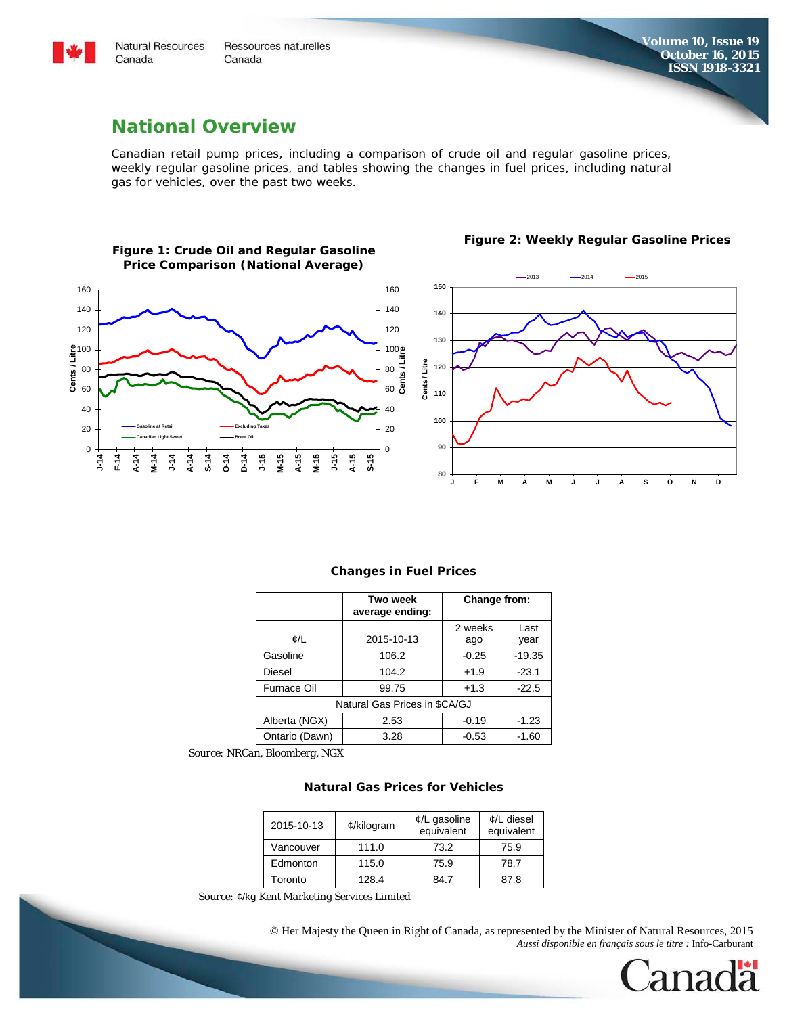

Canada

**Natural Resources** Ressources naturelles Canada

**Figure 2: Weekly Regular Gasoline Prices**

## **National Overview**

Canadian retail pump prices, including a comparison of crude oil and regular gasoline prices, weekly regular gasoline prices, and tables showing the changes in fuel prices, including natural gas for vehicles, over the past two weeks.



#### **Figure 1: Crude Oil and Regular Gasoline Price Comparison (National Average)**

#### **Changes in Fuel Prices**

|                               | Two week<br>average ending: | Change from: |          |  |  |  |  |
|-------------------------------|-----------------------------|--------------|----------|--|--|--|--|
| ¢/L                           | 2015-10-13                  | 2 weeks      | Last     |  |  |  |  |
|                               |                             | ago          | vear     |  |  |  |  |
| Gasoline                      | 106.2                       | $-0.25$      | $-19.35$ |  |  |  |  |
| Diesel                        | 104.2                       | $+1.9$       | $-23.1$  |  |  |  |  |
| Furnace Oil                   | 99.75                       | $+1.3$       | $-22.5$  |  |  |  |  |
| Natural Gas Prices in \$CA/GJ |                             |              |          |  |  |  |  |
| Alberta (NGX)                 | 2.53                        | $-0.19$      | $-1.23$  |  |  |  |  |
| Ontario (Dawn)                | 3.28                        | $-0.53$      | $-1.60$  |  |  |  |  |

*Source: NRCan, Bloomberg, NGX*

### **Natural Gas Prices for Vehicles**

| 2015-10-13 | $¢$ /kilogram | $\mathcal{L}/L$ gasoline<br>equivalent | $\mathcal{L}/L$ diesel<br>equivalent |  |
|------------|---------------|----------------------------------------|--------------------------------------|--|
| Vancouver  | 111.0         | 73.2                                   | 75.9                                 |  |
| Edmonton   | 115.0         | 75.9                                   | 78.7                                 |  |
| Toronto    | 128.4         | 84 7                                   | 87.8                                 |  |

 *Source:* ¢/kg *Kent Marketing Services Limited*

© Her Majesty the Queen in Right of Canada, as represented by the Minister of Natural Resources, 2015 *Aussi disponible en français sous le titre :* Info-Carburant

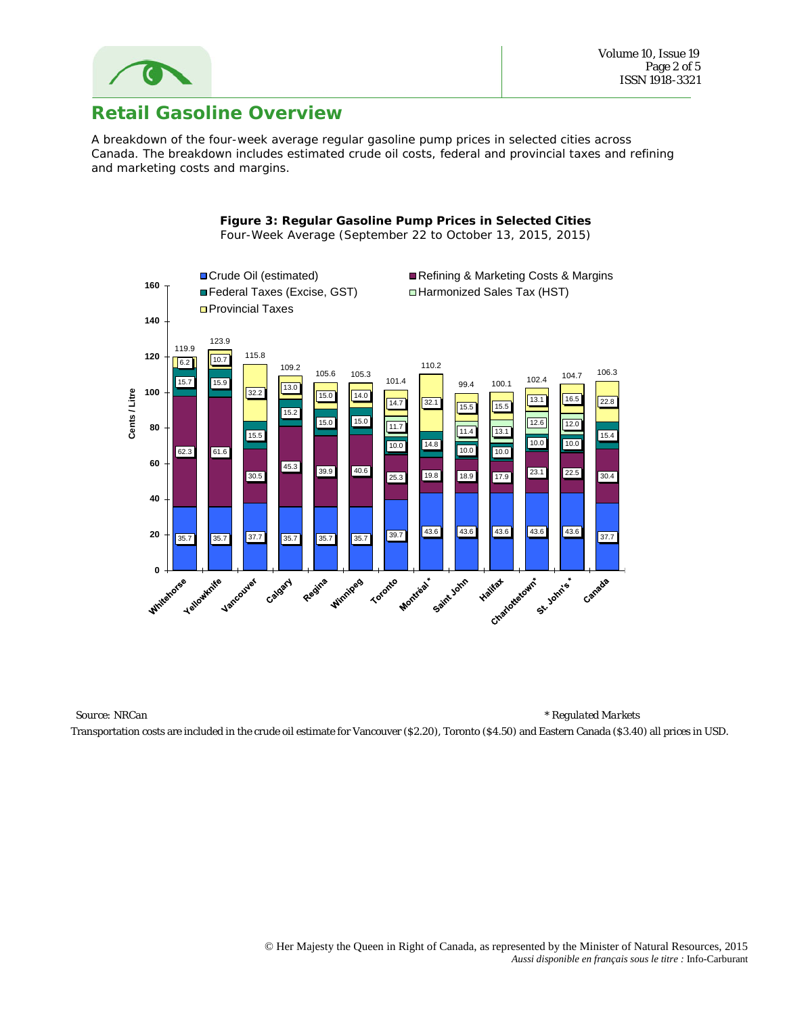

# **Retail Gasoline Overview**

A breakdown of the four-week average regular gasoline pump prices in selected cities across Canada. The breakdown includes estimated crude oil costs, federal and provincial taxes and refining and marketing costs and margins.

> **Figure 3: Regular Gasoline Pump Prices in Selected Cities** Four-Week Average (September 22 to October 13, 2015, 2015)



 *Source: NRCan \* Regulated Markets* Transportation costs are included in the crude oil estimate for Vancouver (\$2.20), Toronto (\$4.50) and Eastern Canada (\$3.40) all prices in USD.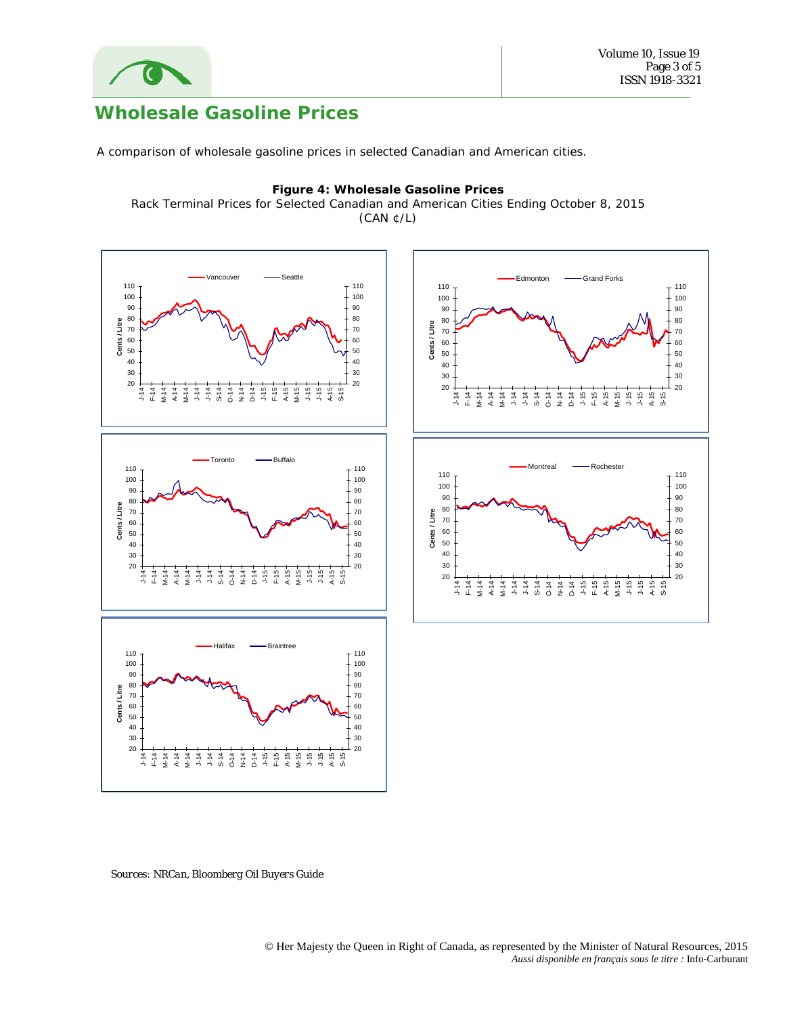

# **Wholesale Gasoline Prices**

A comparison of wholesale gasoline prices in selected Canadian and American cities.

### **Figure 4: Wholesale Gasoline Prices**

Rack Terminal Prices for Selected Canadian and American Cities Ending October 8, 2015 (CAN ¢/L)



 *Sources: NRCan, Bloomberg Oil Buyers Guide*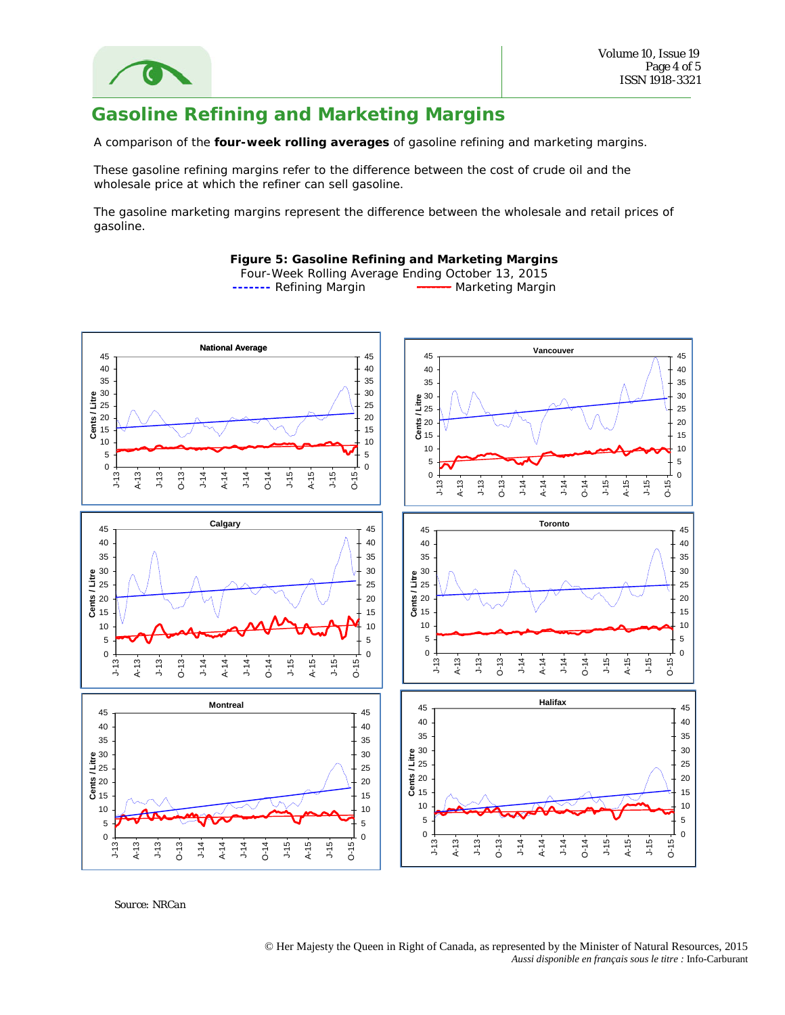

# **Gasoline Refining and Marketing Margins**

A comparison of the **four-week rolling averages** of gasoline refining and marketing margins.

These gasoline refining margins refer to the difference between the cost of crude oil and the wholesale price at which the refiner can sell gasoline.

The gasoline marketing margins represent the difference between the wholesale and retail prices of gasoline.

### **Figure 5: Gasoline Refining and Marketing Margins**

Four-Week Rolling Average Ending October 13, 2015 **-------** Refining Margin **------** Marketing Margin



*Source: NRCan*

© Her Majesty the Queen in Right of Canada, as represented by the Minister of Natural Resources, 2015 *Aussi disponible en français sous le titre :* Info-Carburant